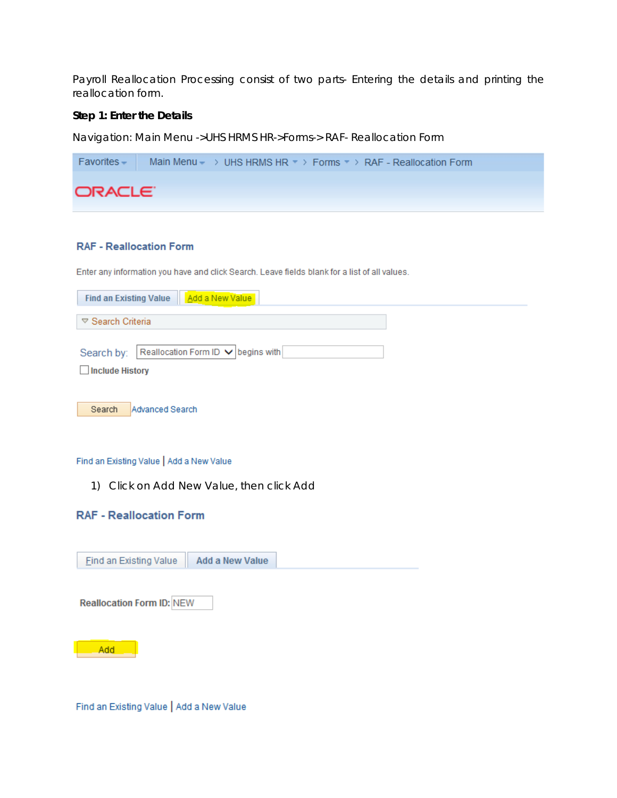Payroll Reallocation Processing consist of two parts- Entering the details and printing the reallocation form.

### **Step 1: Enter the Details**

Navigation: Main Menu ->UHS HRMS HR->Forms-> RAF- Reallocation Form



## **RAF - Reallocation Form**

Enter any information you have and click Search. Leave fields blank for a list of all values.

| <b>Find an Existing Value</b>   | Add a New Value                    |  |  |  |  |  |
|---------------------------------|------------------------------------|--|--|--|--|--|
| $\triangledown$ Search Criteria |                                    |  |  |  |  |  |
|                                 |                                    |  |  |  |  |  |
| Search by:                      | Reallocation Form ID v begins with |  |  |  |  |  |
| Include History                 |                                    |  |  |  |  |  |
|                                 |                                    |  |  |  |  |  |
| Search                          | Advanced Search                    |  |  |  |  |  |

#### Find an Existing Value | Add a New Value

1) Click on Add New Value, then click Add

# **RAF - Reallocation Form**

| <b>Add a New Value</b><br><b>Eind an Existing Value</b> |
|---------------------------------------------------------|
|                                                         |
| <b>Reallocation Form ID: NEW</b>                        |
|                                                         |
| Add                                                     |
|                                                         |

Find an Existing Value | Add a New Value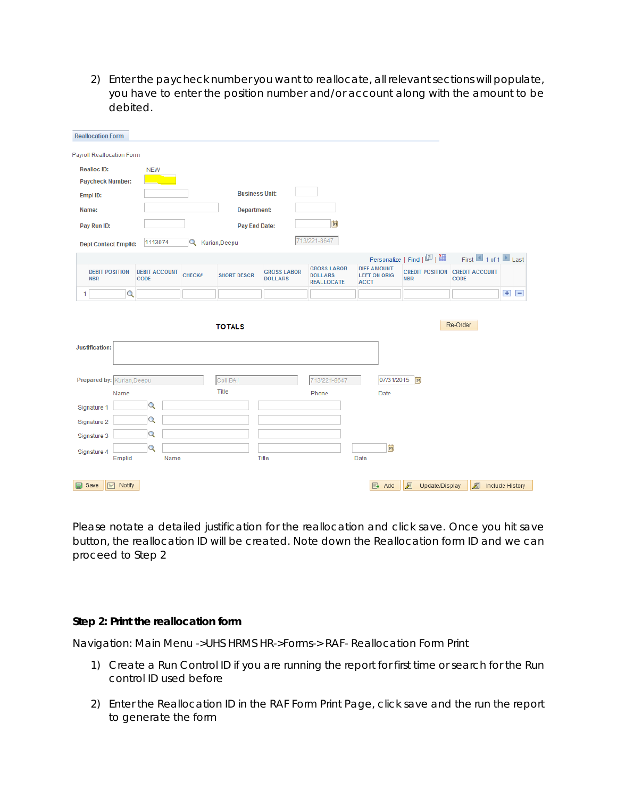2) Enter the paycheck number you want to reallocate, all relevant sections will populate, you have to enter the position number and/or account along with the amount to be debited.

| <b>Reallocation Form</b>            |                                     |                        |                       |                                      |                                                           |                                                          |                              |                                                      |         |  |
|-------------------------------------|-------------------------------------|------------------------|-----------------------|--------------------------------------|-----------------------------------------------------------|----------------------------------------------------------|------------------------------|------------------------------------------------------|---------|--|
| Payroll Reallocation Form           |                                     |                        |                       |                                      |                                                           |                                                          |                              |                                                      |         |  |
| <b>Realloc ID:</b>                  | <b>NEW</b>                          |                        |                       |                                      |                                                           |                                                          |                              |                                                      |         |  |
| <b>Paycheck Number:</b>             |                                     |                        |                       |                                      |                                                           |                                                          |                              |                                                      |         |  |
| Empl ID:                            |                                     |                        | <b>Business Unit:</b> |                                      |                                                           |                                                          |                              |                                                      |         |  |
| Name:                               |                                     |                        | Department:           |                                      |                                                           |                                                          |                              |                                                      |         |  |
| Pay Run ID:                         |                                     |                        | <b>Pay End Date:</b>  |                                      | B <sub>1</sub>                                            |                                                          |                              |                                                      |         |  |
| <b>Dept Contact Emplid:</b>         | 1113074                             | <b>Q</b> Kurian, Deepu |                       |                                      | 713/221-8647                                              |                                                          |                              |                                                      |         |  |
|                                     |                                     |                        |                       |                                      |                                                           |                                                          | Personalize   Find   2   1   | First 1 of 1 Last                                    |         |  |
| <b>DEBIT POSITION</b><br><b>NBR</b> | <b>DEBIT ACCOUNT</b><br><b>CODE</b> | CHECK#                 | <b>SHORT DESCR</b>    | <b>GROSS LABOR</b><br><b>DOLLARS</b> | <b>GROSS LABOR</b><br><b>DOLLARS</b><br><b>REALLOCATE</b> | <b>DIFF AMOUNT</b><br><b>LEFT ON ORIG</b><br><b>ACCT</b> | <b>NBR</b>                   | <b>CREDIT POSITION CREDIT ACCOUNT</b><br><b>CODE</b> |         |  |
| $\overline{\mathbf{Q}}$<br>1        |                                     |                        |                       |                                      |                                                           |                                                          |                              |                                                      | $+$ $-$ |  |
| <b>Justification:</b>               |                                     |                        | <b>TOTALS</b>         |                                      |                                                           |                                                          |                              | Re-Order                                             |         |  |
| Prepared by: Kurian, Deepu          |                                     |                        | Coll BAI              |                                      | 713/221-8647                                              |                                                          | 07/31/2015                   |                                                      |         |  |
| Name                                |                                     |                        | Title                 |                                      | Phone                                                     | Date                                                     |                              |                                                      |         |  |
| Signature 1                         | Q                                   |                        |                       |                                      |                                                           |                                                          |                              |                                                      |         |  |
| Signature 2                         | Q                                   |                        |                       |                                      |                                                           |                                                          |                              |                                                      |         |  |
| Signature 3                         | Q                                   |                        |                       |                                      |                                                           |                                                          |                              |                                                      |         |  |
| Signature 4<br>Emplid               | Q<br>Name                           |                        |                       | Title                                |                                                           | B <sub>1</sub><br>Date                                   |                              |                                                      |         |  |
| $\boxed{=}$ Notify<br><b>国</b> Save |                                     |                        |                       |                                      |                                                           | $E +$ Add                                                | $\sqrt{2}$<br>Update/Display | $\sqrt{2}$<br>Include History                        |         |  |

Please notate a detailed justification for the reallocation and click save. Once you hit save button, the reallocation ID will be created. Note down the Reallocation form ID and we can proceed to Step 2

### **Step 2: Print the reallocation form**

Navigation: Main Menu ->UHS HRMS HR->Forms-> RAF- Reallocation Form Print

- 1) Create a Run Control ID if you are running the report for first time or search for the Run control ID used before
- 2) Enter the Reallocation ID in the RAF Form Print Page, click save and the run the report to generate the form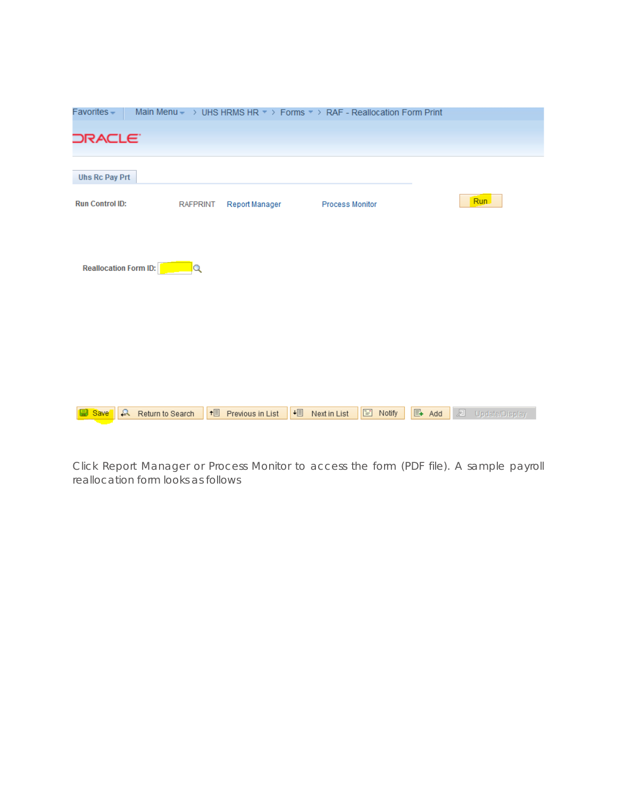| Favorites-                        |                 |                    | Main Menu - > UHS HRMS HR * > Forms * > RAF - Reallocation Form Print |          |       |                     |
|-----------------------------------|-----------------|--------------------|-----------------------------------------------------------------------|----------|-------|---------------------|
| <b>DRACLE</b>                     |                 |                    |                                                                       |          |       |                     |
|                                   |                 |                    |                                                                       |          |       |                     |
| <b>Uhs Rc Pay Prt</b>             |                 |                    |                                                                       |          |       |                     |
| <b>Run Control ID:</b>            | <b>RAFPRINT</b> | Report Manager     | <b>Process Monitor</b>                                                |          |       | Run.                |
|                                   |                 |                    |                                                                       |          |       |                     |
|                                   |                 |                    |                                                                       |          |       |                     |
| <b>Reallocation Form ID:</b>      | Q               |                    |                                                                       |          |       |                     |
|                                   |                 |                    |                                                                       |          |       |                     |
|                                   |                 |                    |                                                                       |          |       |                     |
|                                   |                 |                    |                                                                       |          |       |                     |
|                                   |                 |                    |                                                                       |          |       |                     |
|                                   |                 |                    |                                                                       |          |       |                     |
|                                   |                 |                    |                                                                       |          |       |                     |
| Return to Search<br><b>B</b> Save |                 | + Previous in List | $+ \equiv$<br>Next in List                                            | E Notify | 图 Add | 屋<br>Update/Display |

Click Report Manager or Process Monitor to access the form (PDF file). A sample payroll reallocation form looks as follows